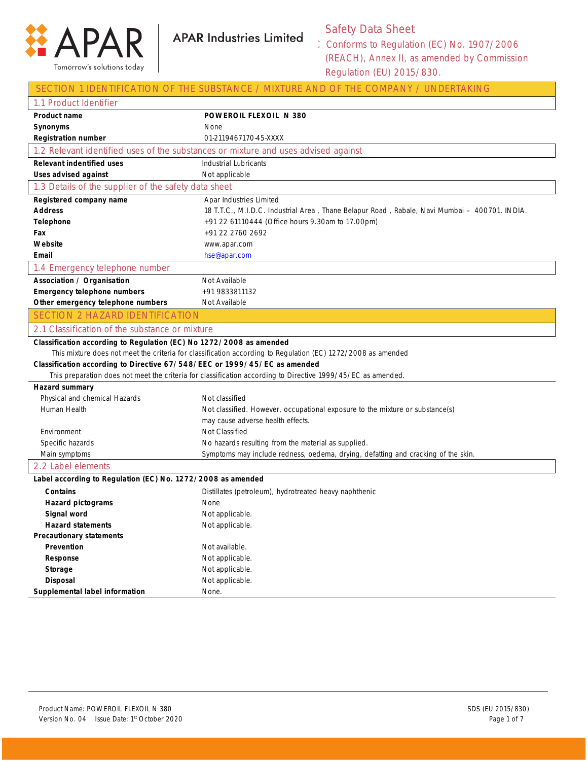

Safety Data Sheet

| SECTION 1 IDENTIFICATION OF THE SUBSTANCE / MIXTURE AND OF THE COMPANY / UNDERTAKING                         |                                                                                                              |  |
|--------------------------------------------------------------------------------------------------------------|--------------------------------------------------------------------------------------------------------------|--|
| 1.1 Product Identifier                                                                                       |                                                                                                              |  |
| Product name                                                                                                 | POWEROIL FLEXOIL N 380                                                                                       |  |
| Synonyms                                                                                                     | None                                                                                                         |  |
| <b>Registration number</b>                                                                                   | 01-2119467170-45-XXXX                                                                                        |  |
| 1.2 Relevant identified uses of the substances or mixture and uses advised against                           |                                                                                                              |  |
| <b>Relevant indentified uses</b>                                                                             | Industrial Lubricants                                                                                        |  |
| <b>Uses advised against</b>                                                                                  | Not applicable                                                                                               |  |
| 1.3 Details of the supplier of the safety data sheet                                                         |                                                                                                              |  |
| Registered company name                                                                                      | Apar Industries Limited                                                                                      |  |
| <b>Address</b>                                                                                               | 18 T.T.C., M.I.D.C. Industrial Area, Thane Belapur Road, Rabale, Navi Mumbai - 400701. INDIA.                |  |
| <b>Telephone</b>                                                                                             | +91 22 61110444 (Office hours 9.30am to 17.00pm)                                                             |  |
| Fax                                                                                                          | +91 22 2760 2692                                                                                             |  |
| Website                                                                                                      | www.apar.com                                                                                                 |  |
| Email                                                                                                        | hse@apar.com                                                                                                 |  |
| 1.4 Emergency telephone number                                                                               |                                                                                                              |  |
| Association / Organisation                                                                                   | Not Available                                                                                                |  |
| <b>Emergency telephone numbers</b>                                                                           | +91 9833811132                                                                                               |  |
| Other emergency telephone numbers                                                                            | Not Available                                                                                                |  |
| <b>SECTION 2 HAZARD IDENTIFICATION</b>                                                                       |                                                                                                              |  |
| 2.1 Classification of the substance or mixture                                                               |                                                                                                              |  |
| Classification according to Regulation (EC) No 1272/2008 as amended                                          |                                                                                                              |  |
| This mixture does not meet the criteria for classification according to Regulation (EC) 1272/2008 as amended |                                                                                                              |  |
| Classification according to Directive 67/548/EEC or 1999/45/EC as amended                                    |                                                                                                              |  |
|                                                                                                              | This preparation does not meet the criteria for classification according to Directive 1999/45/EC as amended. |  |
| Hazard summary                                                                                               |                                                                                                              |  |
| Physical and chemical Hazards                                                                                | Not classified                                                                                               |  |
| Human Health                                                                                                 | Not classified. However, occupational exposure to the mixture or substance(s)                                |  |
|                                                                                                              | may cause adverse health effects.                                                                            |  |
| Environment                                                                                                  |                                                                                                              |  |
|                                                                                                              | Not Classified                                                                                               |  |
| Specific hazards                                                                                             | No hazards resulting from the material as supplied.                                                          |  |
| Main symptoms                                                                                                | Symptoms may include redness, oedema, drying, defatting and cracking of the skin.                            |  |
| 2.2 Label elements                                                                                           |                                                                                                              |  |
| Label according to Regulation (EC) No. 1272/2008 as amended                                                  |                                                                                                              |  |
| Contains                                                                                                     | Distillates (petroleum), hydrotreated heavy naphthenic                                                       |  |
| <b>Hazard pictograms</b>                                                                                     | None                                                                                                         |  |
| Signal word                                                                                                  | Not applicable.                                                                                              |  |
| <b>Hazard statements</b>                                                                                     | Not applicable.                                                                                              |  |
| <b>Precautionary statements</b>                                                                              |                                                                                                              |  |
| Prevention                                                                                                   | Not available.                                                                                               |  |
| Response                                                                                                     | Not applicable.                                                                                              |  |
| Storage                                                                                                      | Not applicable.                                                                                              |  |
| <b>Disposal</b><br>Supplemental label information                                                            | Not applicable.<br>None.                                                                                     |  |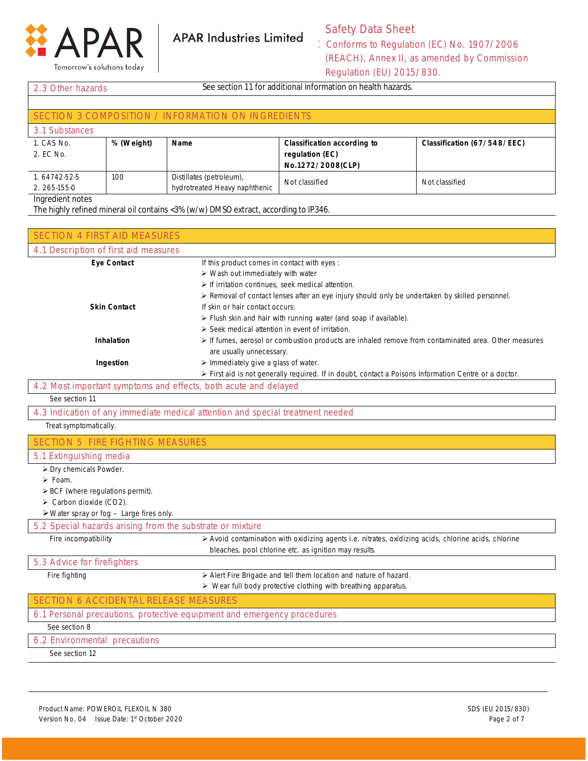

# Safety Data Sheet

| See section 11 for additional information on health hazards.<br>2.3 Other hazards   |            |                                                    |                                    |                             |
|-------------------------------------------------------------------------------------|------------|----------------------------------------------------|------------------------------------|-----------------------------|
|                                                                                     |            |                                                    |                                    |                             |
|                                                                                     |            | SECTION 3 COMPOSITION / INFORMATION ON INGREDIENTS |                                    |                             |
| 3.1 Substances                                                                      |            |                                                    |                                    |                             |
| 1. CAS No.                                                                          | % (Weight) | <b>Name</b>                                        | <b>Classification according to</b> | Classification (67/548/EEC) |
| 2. EC No.                                                                           |            |                                                    | regulation (EC)                    |                             |
|                                                                                     |            |                                                    | No.1272/2008(CLP)                  |                             |
| 1.64742-52-5                                                                        | 100        | Distillates (petroleum),                           | Not classified                     | Not classified              |
| 2. 265-155-0                                                                        |            | hydrotreated Heavy naphthenic                      |                                    |                             |
| Ingredient notes                                                                    |            |                                                    |                                    |                             |
| The highly refined mineral oil contains <3% (w/w) DMSO extract, according to IP346. |            |                                                    |                                    |                             |

| <b>SECTION 4 FIRST AID MEASURES</b>                                     |                                                                                                                                                               |
|-------------------------------------------------------------------------|---------------------------------------------------------------------------------------------------------------------------------------------------------------|
| 4.1 Description of first aid measures                                   |                                                                                                                                                               |
| <b>Eye Contact</b>                                                      | If this product comes in contact with eyes :                                                                                                                  |
|                                                                         | $\triangleright$ Wash out immediately with water                                                                                                              |
|                                                                         | $\triangleright$ If irritation continues, seek medical attention.                                                                                             |
|                                                                         | > Removal of contact lenses after an eye injury should only be undertaken by skilled personnel.                                                               |
| <b>Skin Contact</b>                                                     | If skin or hair contact occurs:                                                                                                                               |
|                                                                         | > Flush skin and hair with running water (and soap if available).                                                                                             |
|                                                                         | > Seek medical attention in event of irritation.                                                                                                              |
| Inhalation                                                              | > If fumes, aerosol or combustion products are inhaled remove from contaminated area. Other measures                                                          |
|                                                                         | are usually unnecessary.                                                                                                                                      |
| Ingestion                                                               | > Immediately give a glass of water.                                                                                                                          |
|                                                                         | > First aid is not generally required. If in doubt, contact a Poisons Information Centre or a doctor.                                                         |
| 4.2 Most important symptoms and effects, both acute and delayed         |                                                                                                                                                               |
| See section 11                                                          |                                                                                                                                                               |
|                                                                         | 4.3 Indication of any immediate medical attention and special treatment needed                                                                                |
| Treat symptomatically.                                                  |                                                                                                                                                               |
| <b>SECTION 5 FIRE FIGHTING MEASURES</b>                                 |                                                                                                                                                               |
| 5.1 Extinguishing media                                                 |                                                                                                                                                               |
| $\overline{\triangleright}$ Dry chemicals Powder.                       |                                                                                                                                                               |
| $\triangleright$ Foam.                                                  |                                                                                                                                                               |
| > BCF (where regulations permit).                                       |                                                                                                                                                               |
| $\triangleright$ Carbon dioxide (CO2).                                  |                                                                                                                                                               |
| $\triangleright$ Water spray or fog - Large fires only.                 |                                                                                                                                                               |
| 5.2 Special hazards arising from the substrate or mixture               |                                                                                                                                                               |
| Fire incompatibility                                                    | > Avoid contamination with oxidizing agents i.e. nitrates, oxidizing acids, chlorine acids, chlorine<br>bleaches, pool chlorine etc. as ignition may results. |
| 5.3 Advice for firefighters                                             |                                                                                                                                                               |
| Fire fighting                                                           | > Alert Fire Brigade and tell them location and nature of hazard.                                                                                             |
|                                                                         | > Wear full body protective clothing with breathing apparatus.                                                                                                |
| <b>SECTION 6 ACCIDENTAL RELEASE MEASURES</b>                            |                                                                                                                                                               |
| 6.1 Personal precautions, protective equipment and emergency procedures |                                                                                                                                                               |
| See section 8                                                           |                                                                                                                                                               |
| 6.2 Environmental precautions                                           |                                                                                                                                                               |
| See section 12                                                          |                                                                                                                                                               |
|                                                                         |                                                                                                                                                               |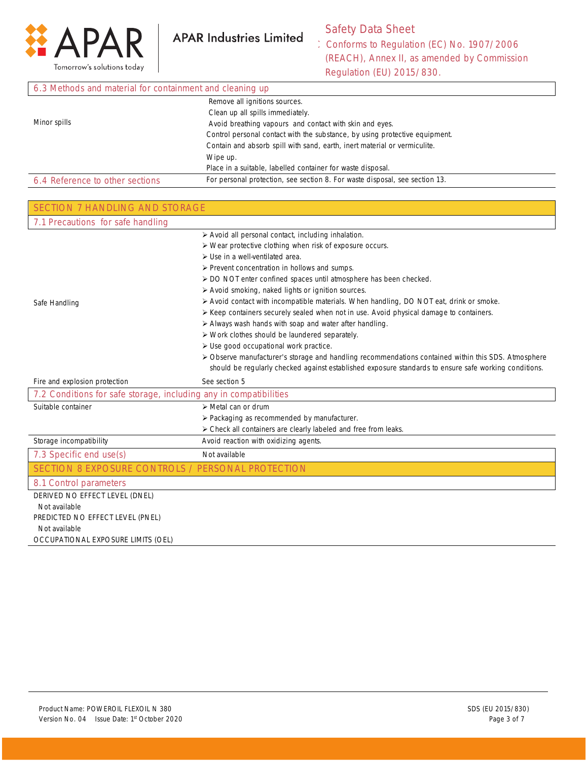

Г

**APAR Industries Limited** 

# Safety Data Sheet

| 6.3 Methods and material for containment and cleaning up |                                                                             |  |
|----------------------------------------------------------|-----------------------------------------------------------------------------|--|
|                                                          | Remove all ignitions sources.                                               |  |
|                                                          | Clean up all spills immediately.                                            |  |
| Minor spills                                             | Avoid breathing vapours and contact with skin and eyes.                     |  |
|                                                          | Control personal contact with the substance, by using protective equipment. |  |
|                                                          | Contain and absorb spill with sand, earth, inert material or vermiculite.   |  |
|                                                          | Wipe up.                                                                    |  |
|                                                          | Place in a suitable, labelled container for waste disposal.                 |  |
| 6.4 Reference to other sections                          | For personal protection, see section 8. For waste disposal, see section 13. |  |

| SECTION 7 HANDLING AND STORAGE                                    |                                                                                                       |
|-------------------------------------------------------------------|-------------------------------------------------------------------------------------------------------|
| 7.1 Precautions for safe handling                                 |                                                                                                       |
|                                                                   | > Avoid all personal contact, including inhalation.                                                   |
|                                                                   | > Wear protective clothing when risk of exposure occurs.                                              |
|                                                                   | $\triangleright$ Use in a well-ventilated area.                                                       |
|                                                                   | $\triangleright$ Prevent concentration in hollows and sumps.                                          |
|                                                                   | > DO NOT enter confined spaces until atmosphere has been checked.                                     |
|                                                                   | > Avoid smoking, naked lights or ignition sources.                                                    |
| Safe Handling                                                     | > Avoid contact with incompatible materials. When handling, DO NOT eat, drink or smoke.               |
|                                                                   | ≻ Keep containers securely sealed when not in use. Avoid physical damage to containers.               |
|                                                                   | > Always wash hands with soap and water after handling.                                               |
|                                                                   | $\triangleright$ Work clothes should be laundered separately.                                         |
|                                                                   | > Use good occupational work practice.                                                                |
|                                                                   | > Observe manufacturer's storage and handling recommendations contained within this SDS. Atmosphere   |
|                                                                   | should be regularly checked against established exposure standards to ensure safe working conditions. |
| Fire and explosion protection                                     | See section 5                                                                                         |
| 7.2 Conditions for safe storage, including any in compatibilities |                                                                                                       |
| Suitable container                                                | $\triangleright$ Metal can or drum                                                                    |
|                                                                   | $\triangleright$ Packaging as recommended by manufacturer.                                            |
|                                                                   | > Check all containers are clearly labeled and free from leaks.                                       |
| Storage incompatibility                                           | Avoid reaction with oxidizing agents.                                                                 |
| 7.3 Specific end use(s)                                           | Not available                                                                                         |
| <b>SECTION 8 EXPOSURE CONTROLS / PERSONAL PROTECTION</b>          |                                                                                                       |
| 8.1 Control parameters                                            |                                                                                                       |
| DERIVED NO EFFECT LEVEL (DNEL)                                    |                                                                                                       |
| Not available                                                     |                                                                                                       |
| PREDICTED NO EFFECT LEVEL (PNEL)                                  |                                                                                                       |
| Not available                                                     |                                                                                                       |
| OCCUPATIONAL EXPOSURE LIMITS (OEL)                                |                                                                                                       |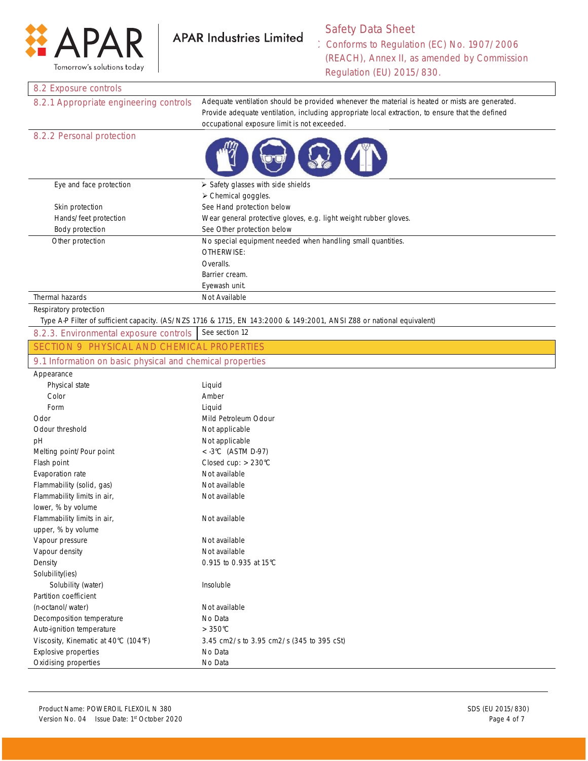

Safety Data Sheet Conforms to Regulation (EC) No. 1907/2006 (REACH), Annex II, as amended by Commission

Regulation (EU) 2015/830.

### 8.2 Exposure controls

8.2.1 Appropriate engineering controls Adequate ventilation should be provided whenever the material is heated or mists are generated. Provide adequate ventilation, including appropriate local extraction, to ensure that the defined occupational exposure limit is not exceeded.

### 8.2.2 Personal protection



| Eye and face protection | $\triangleright$ Safety glasses with side shields                |
|-------------------------|------------------------------------------------------------------|
|                         | $\triangleright$ Chemical goggles.                               |
| Skin protection         | See Hand protection below                                        |
| Hands/feet protection   | Wear general protective gloves, e.g. light weight rubber gloves. |
| Body protection         | See Other protection below                                       |
| Other protection        | No special equipment needed when handling small quantities.      |
|                         | OTHERWISE:                                                       |
|                         | Overalls.                                                        |
|                         | Barrier cream.                                                   |
|                         | Eyewash unit.                                                    |
| Thermal hazards         | Not Available                                                    |

#### Respiratory protection

Type A-P Filter of sufficient capacity. (AS/NZS 1716 & 1715, EN 143:2000 & 149:2001, ANSI Z88 or national equivalent)

| SECTION 9 PHYSICAL AND CHEMICAL PROPERTIES                |  |
|-----------------------------------------------------------|--|
|                                                           |  |
| 9.1 Information on basic physical and chemical properties |  |

| Appearance                           |                                           |
|--------------------------------------|-------------------------------------------|
| Physical state                       | Liquid                                    |
| Color                                | Amber                                     |
| Form                                 | Liquid                                    |
| Odor                                 | Mild Petroleum Odour                      |
| Odour threshold                      | Not applicable                            |
| рH                                   | Not applicable                            |
| Melting point/Pour point             | $<$ -3°C (ASTM D-97)                      |
| Flash point                          | Closed cup: $> 230^{\circ}$ C             |
| Evaporation rate                     | Not available                             |
| Flammability (solid, gas)            | Not available                             |
| Flammability limits in air,          | Not available                             |
| lower, % by volume                   |                                           |
| Flammability limits in air,          | Not available                             |
| upper, % by volume                   |                                           |
| Vapour pressure                      | Not available                             |
| Vapour density                       | Not available                             |
| Density                              | 0.915 to 0.935 at 15°C                    |
| Solubility(ies)                      |                                           |
| Solubility (water)                   | Insoluble                                 |
| Partition coefficient                |                                           |
| (n-octanol/water)                    | Not available                             |
| Decomposition temperature            | No Data                                   |
| Auto-ignition temperature            | $>350^{\circ}$ C                          |
| Viscosity, Kinematic at 40°C (104°F) | 3.45 cm2/s to 3.95 cm2/s (345 to 395 cSt) |
| <b>Explosive properties</b>          | No Data                                   |
| Oxidising properties                 | No Data                                   |
|                                      |                                           |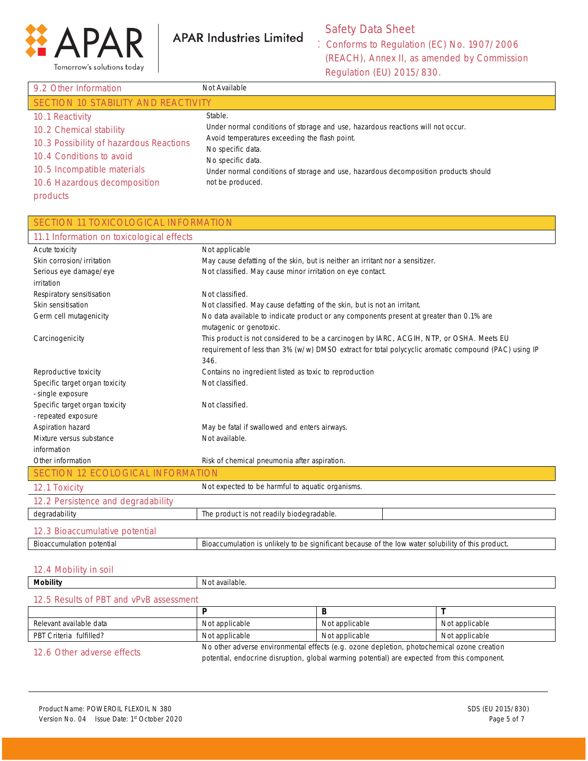

Safety Data Sheet

Conforms to Regulation (EC) No. 1907/2006 (REACH), Annex II, as amended by Commission Regulation (EU) 2015/830.

| 9.2 Other Information                   | Not Available                                                                       |  |
|-----------------------------------------|-------------------------------------------------------------------------------------|--|
| SECTION 10 STABILITY AND REACTIVITY     |                                                                                     |  |
| 10.1 Reactivity                         | Stable.                                                                             |  |
| 10.2 Chemical stability                 | Under normal conditions of storage and use, hazardous reactions will not occur.     |  |
| 10.3 Possibility of hazardous Reactions | Avoid temperatures exceeding the flash point.<br>No specific data.                  |  |
| 10.4 Conditions to avoid                | No specific data.                                                                   |  |
| 10.5 Incompatible materials             | Under normal conditions of storage and use, hazardous decomposition products should |  |
| 10.6 Hazardous decomposition            | not be produced.                                                                    |  |
| products                                |                                                                                     |  |

## SECTION 11 TOXICOLOGICAL INFORMATION

| 11.1 Information on toxicological effects |                                                                                                                                                                                                          |
|-------------------------------------------|----------------------------------------------------------------------------------------------------------------------------------------------------------------------------------------------------------|
| Acute toxicity                            | Not applicable                                                                                                                                                                                           |
| Skin corrosion/irritation                 | May cause defatting of the skin, but is neither an irritant nor a sensitizer.                                                                                                                            |
| Serious eye damage/eye                    | Not classified. May cause minor irritation on eye contact.                                                                                                                                               |
| irritation                                |                                                                                                                                                                                                          |
| Respiratory sensitisation                 | Not classified.                                                                                                                                                                                          |
| Skin sensitisation                        | Not classified. May cause defatting of the skin, but is not an irritant.                                                                                                                                 |
| Germ cell mutagenicity                    | No data available to indicate product or any components present at greater than 0.1% are<br>mutagenic or genotoxic.                                                                                      |
| Carcinogenicity                           | This product is not considered to be a carcinogen by IARC, ACGIH, NTP, or OSHA. Meets EU<br>requirement of less than 3% (w/w) DMSO extract for total polycyclic aromatic compound (PAC) using IP<br>346. |
| Reproductive toxicity                     | Contains no ingredient listed as toxic to reproduction                                                                                                                                                   |
| Specific target organ toxicity            | Not classified.                                                                                                                                                                                          |
| - single exposure                         |                                                                                                                                                                                                          |
| Specific target organ toxicity            | Not classified.                                                                                                                                                                                          |
| - repeated exposure                       |                                                                                                                                                                                                          |
| Aspiration hazard                         | May be fatal if swallowed and enters airways.                                                                                                                                                            |
| Mixture versus substance                  | Not available.                                                                                                                                                                                           |
| information                               |                                                                                                                                                                                                          |
| Other information                         | Risk of chemical pneumonia after aspiration.                                                                                                                                                             |
| <b>SECTION 12 ECOLOGICAL INFORMATION</b>  |                                                                                                                                                                                                          |
| 12.1 Toxicity                             | Not expected to be harmful to aquatic organisms.                                                                                                                                                         |
| 12.2 Persistence and degradability        |                                                                                                                                                                                                          |
| degradability                             | The product is not readily biodegradable.                                                                                                                                                                |
| 12.3 Bioaccumulative potential            |                                                                                                                                                                                                          |
| <b>Bioaccumulation potential</b>          | Bioaccumulation is unlikely to be significant because of the low water solubility of this product.                                                                                                       |

### 12.4 Mobility in soil

| <b>Mobility</b>                         | Not available. |                                                                                                                                                                                            |                |
|-----------------------------------------|----------------|--------------------------------------------------------------------------------------------------------------------------------------------------------------------------------------------|----------------|
| 12.5 Results of PBT and vPvB assessment |                |                                                                                                                                                                                            |                |
|                                         |                |                                                                                                                                                                                            |                |
| Relevant available data                 | Not applicable | Not applicable                                                                                                                                                                             | Not applicable |
| PBT Criteria fulfilled?                 | Not applicable | Not applicable                                                                                                                                                                             | Not applicable |
| 12.6 Other adverse effects              |                | No other adverse environmental effects (e.g. ozone depletion, photochemical ozone creation<br>potential, endocrine disruption, global warming potential) are expected from this component. |                |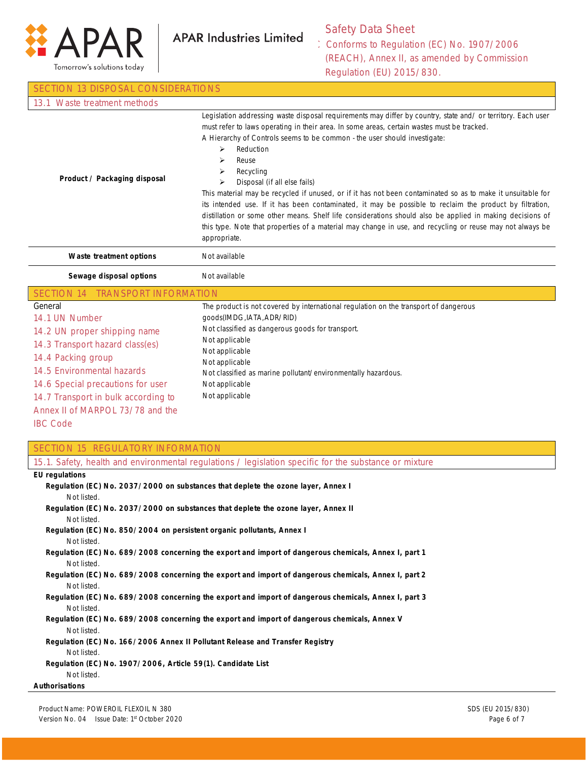

## Safety Data Sheet

| <b>SECTION 13 DISPOSAL CONSIDERATIONS</b>                                                                                                                                                                                                                                                                                                                                                                                                                                                                                                                                                                                                                                                                                                                                                                                                                                                                                                                                                                               |                                                                                                                                                                                                                                                                                                                                                                                                                                                                                                                                                                                                                                                                                                                                                                                                                                                    |  |
|-------------------------------------------------------------------------------------------------------------------------------------------------------------------------------------------------------------------------------------------------------------------------------------------------------------------------------------------------------------------------------------------------------------------------------------------------------------------------------------------------------------------------------------------------------------------------------------------------------------------------------------------------------------------------------------------------------------------------------------------------------------------------------------------------------------------------------------------------------------------------------------------------------------------------------------------------------------------------------------------------------------------------|----------------------------------------------------------------------------------------------------------------------------------------------------------------------------------------------------------------------------------------------------------------------------------------------------------------------------------------------------------------------------------------------------------------------------------------------------------------------------------------------------------------------------------------------------------------------------------------------------------------------------------------------------------------------------------------------------------------------------------------------------------------------------------------------------------------------------------------------------|--|
| 13.1 Waste treatment methods                                                                                                                                                                                                                                                                                                                                                                                                                                                                                                                                                                                                                                                                                                                                                                                                                                                                                                                                                                                            |                                                                                                                                                                                                                                                                                                                                                                                                                                                                                                                                                                                                                                                                                                                                                                                                                                                    |  |
| Product / Packaging disposal                                                                                                                                                                                                                                                                                                                                                                                                                                                                                                                                                                                                                                                                                                                                                                                                                                                                                                                                                                                            | Legislation addressing waste disposal requirements may differ by country, state and/ or territory. Each user<br>must refer to laws operating in their area. In some areas, certain wastes must be tracked.<br>A Hierarchy of Controls seems to be common - the user should investigate:<br>⋗<br>Reduction<br>➤<br>Reuse<br>Recycling<br>➤<br>Disposal (if all else fails)<br>➤<br>This material may be recycled if unused, or if it has not been contaminated so as to make it unsuitable for<br>its intended use. If it has been contaminated, it may be possible to reclaim the product by filtration,<br>distillation or some other means. Shelf life considerations should also be applied in making decisions of<br>this type. Note that properties of a material may change in use, and recycling or reuse may not always be<br>appropriate. |  |
| Waste treatment options                                                                                                                                                                                                                                                                                                                                                                                                                                                                                                                                                                                                                                                                                                                                                                                                                                                                                                                                                                                                 | Not available                                                                                                                                                                                                                                                                                                                                                                                                                                                                                                                                                                                                                                                                                                                                                                                                                                      |  |
| Sewage disposal options                                                                                                                                                                                                                                                                                                                                                                                                                                                                                                                                                                                                                                                                                                                                                                                                                                                                                                                                                                                                 | Not available                                                                                                                                                                                                                                                                                                                                                                                                                                                                                                                                                                                                                                                                                                                                                                                                                                      |  |
| SECTION 14 TRANSPORT INFORMATION                                                                                                                                                                                                                                                                                                                                                                                                                                                                                                                                                                                                                                                                                                                                                                                                                                                                                                                                                                                        |                                                                                                                                                                                                                                                                                                                                                                                                                                                                                                                                                                                                                                                                                                                                                                                                                                                    |  |
| General<br>14.1 UN Number<br>14.2 UN proper shipping name<br>14.3 Transport hazard class(es)<br>14.4 Packing group<br>14.5 Environmental hazards<br>14.6 Special precautions for user<br>14.7 Transport in bulk according to<br>Annex II of MARPOL 73/78 and the<br><b>IBC Code</b>                                                                                                                                                                                                                                                                                                                                                                                                                                                                                                                                                                                                                                                                                                                                     | The product is not covered by international regulation on the transport of dangerous<br>goods(IMDG, IATA, ADR/RID)<br>Not classified as dangerous goods for transport.<br>Not applicable<br>Not applicable<br>Not applicable<br>Not classified as marine pollutant/environmentally hazardous.<br>Not applicable<br>Not applicable                                                                                                                                                                                                                                                                                                                                                                                                                                                                                                                  |  |
| <b>SECTION 15 REGULATORY INFORMATION</b>                                                                                                                                                                                                                                                                                                                                                                                                                                                                                                                                                                                                                                                                                                                                                                                                                                                                                                                                                                                |                                                                                                                                                                                                                                                                                                                                                                                                                                                                                                                                                                                                                                                                                                                                                                                                                                                    |  |
|                                                                                                                                                                                                                                                                                                                                                                                                                                                                                                                                                                                                                                                                                                                                                                                                                                                                                                                                                                                                                         | 15.1. Safety, health and environmental regulations / legislation specific for the substance or mixture                                                                                                                                                                                                                                                                                                                                                                                                                                                                                                                                                                                                                                                                                                                                             |  |
| <b>EU</b> regulations<br>Regulation (EC) No. 2037/2000 on substances that deplete the ozone layer, Annex I<br>Not listed.<br>Regulation (EC) No. 2037/2000 on substances that deplete the ozone layer, Annex II<br>Not listed.<br>Regulation (EC) No. 850/2004 on persistent organic pollutants, Annex I<br>Not listed.<br>Regulation (EC) No. 689/2008 concerning the export and import of dangerous chemicals, Annex I, part 1<br>Not listed.<br>Regulation (EC) No. 689/2008 concerning the export and import of dangerous chemicals, Annex I, part 2<br>Not listed.<br>Regulation (EC) No. 689/2008 concerning the export and import of dangerous chemicals, Annex I, part 3<br>Not listed.<br>Regulation (EC) No. 689/2008 concerning the export and import of dangerous chemicals, Annex V<br>Not listed.<br>Regulation (EC) No. 166/2006 Annex II Pollutant Release and Transfer Registry<br>Not listed.<br>Regulation (EC) No. 1907/2006, Article 59(1). Candidate List<br>Not listed.<br><b>Authorisations</b> |                                                                                                                                                                                                                                                                                                                                                                                                                                                                                                                                                                                                                                                                                                                                                                                                                                                    |  |